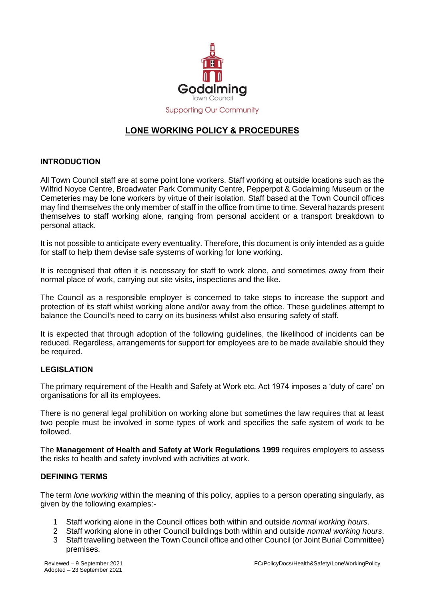

# **LONE WORKING POLICY & PROCEDURES**

#### **INTRODUCTION**

All Town Council staff are at some point lone workers. Staff working at outside locations such as the Wilfrid Noyce Centre, Broadwater Park Community Centre, Pepperpot & Godalming Museum or the Cemeteries may be lone workers by virtue of their isolation. Staff based at the Town Council offices may find themselves the only member of staff in the office from time to time. Several hazards present themselves to staff working alone, ranging from personal accident or a transport breakdown to personal attack.

It is not possible to anticipate every eventuality. Therefore, this document is only intended as a guide for staff to help them devise safe systems of working for lone working.

It is recognised that often it is necessary for staff to work alone, and sometimes away from their normal place of work, carrying out site visits, inspections and the like.

The Council as a responsible employer is concerned to take steps to increase the support and protection of its staff whilst working alone and/or away from the office. These guidelines attempt to balance the Council's need to carry on its business whilst also ensuring safety of staff.

It is expected that through adoption of the following guidelines, the likelihood of incidents can be reduced. Regardless, arrangements for support for employees are to be made available should they be required.

#### **LEGISLATION**

The primary requirement of the Health and Safety at Work etc. Act 1974 imposes a 'duty of care' on organisations for all its employees.

There is no general legal prohibition on working alone but sometimes the law requires that at least two people must be involved in some types of work and specifies the safe system of work to be followed.

The **Management of Health and Safety at Work Regulations 1999** requires employers to assess the risks to health and safety involved with activities at work.

#### **DEFINING TERMS**

The term *lone working* within the meaning of this policy, applies to a person operating singularly, as given by the following examples:-

- 1 Staff working alone in the Council offices both within and outside *normal working hours*.
- 2 Staff working alone in other Council buildings both within and outside *normal working hours*.
- 3 Staff travelling between the Town Council office and other Council (or Joint Burial Committee) premises.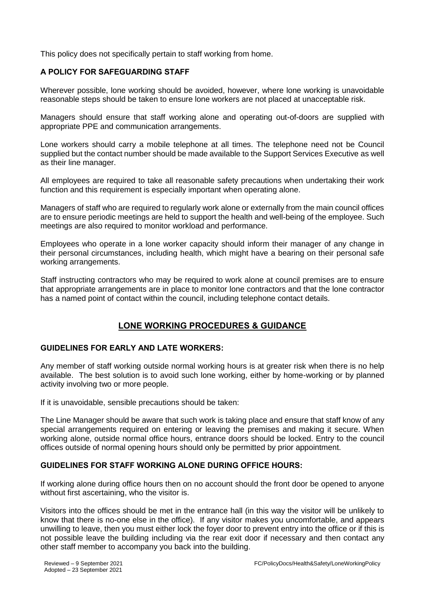This policy does not specifically pertain to staff working from home.

### **A POLICY FOR SAFEGUARDING STAFF**

Wherever possible, lone working should be avoided, however, where lone working is unavoidable reasonable steps should be taken to ensure lone workers are not placed at unacceptable risk.

Managers should ensure that staff working alone and operating out-of-doors are supplied with appropriate PPE and communication arrangements.

Lone workers should carry a mobile telephone at all times. The telephone need not be Council supplied but the contact number should be made available to the Support Services Executive as well as their line manager.

All employees are required to take all reasonable safety precautions when undertaking their work function and this requirement is especially important when operating alone.

Managers of staff who are required to regularly work alone or externally from the main council offices are to ensure periodic meetings are held to support the health and well-being of the employee. Such meetings are also required to monitor workload and performance.

Employees who operate in a lone worker capacity should inform their manager of any change in their personal circumstances, including health, which might have a bearing on their personal safe working arrangements.

Staff instructing contractors who may be required to work alone at council premises are to ensure that appropriate arrangements are in place to monitor lone contractors and that the lone contractor has a named point of contact within the council, including telephone contact details.

## **LONE WORKING PROCEDURES & GUIDANCE**

#### **GUIDELINES FOR EARLY AND LATE WORKERS:**

Any member of staff working outside normal working hours is at greater risk when there is no help available. The best solution is to avoid such lone working, either by home-working or by planned activity involving two or more people.

If it is unavoidable, sensible precautions should be taken:

The Line Manager should be aware that such work is taking place and ensure that staff know of any special arrangements required on entering or leaving the premises and making it secure. When working alone, outside normal office hours, entrance doors should be locked. Entry to the council offices outside of normal opening hours should only be permitted by prior appointment.

#### **GUIDELINES FOR STAFF WORKING ALONE DURING OFFICE HOURS:**

If working alone during office hours then on no account should the front door be opened to anyone without first ascertaining, who the visitor is.

Visitors into the offices should be met in the entrance hall (in this way the visitor will be unlikely to know that there is no-one else in the office). If any visitor makes you uncomfortable, and appears unwilling to leave, then you must either lock the foyer door to prevent entry into the office or if this is not possible leave the building including via the rear exit door if necessary and then contact any other staff member to accompany you back into the building.